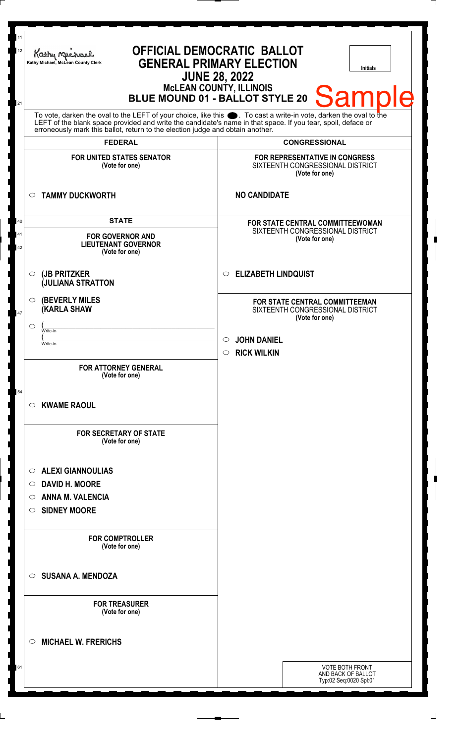| 11<br>12<br>21 | <b>OFFICIAL DEMOCRATIC BALLOT</b><br>Kathy Macharel<br><b>GENERAL PRIMARY ELECTION</b><br>Kathy Michael, McLean County Clerk<br><b>Initials</b><br><b>JUNE 28, 2022</b><br>McLEAN COUNTY, ILLINOIS<br>BLUE MOUND 01 - BALLOT STYLE 20<br><b>Sample</b><br>To vote, darken the oval to the LEFT of your choice, like this $\bullet$ . To cast a write-in vote, darken the oval to the<br>LEFT of the blank space provided and write the candidate's name in that space. If you tear, spoil, deface or<br>erroneously mark this ballot, return to the election judge and obtain another.<br><b>FEDERAL</b><br><b>CONGRESSIONAL</b> |                                                                                                                                                        |
|----------------|----------------------------------------------------------------------------------------------------------------------------------------------------------------------------------------------------------------------------------------------------------------------------------------------------------------------------------------------------------------------------------------------------------------------------------------------------------------------------------------------------------------------------------------------------------------------------------------------------------------------------------|--------------------------------------------------------------------------------------------------------------------------------------------------------|
|                |                                                                                                                                                                                                                                                                                                                                                                                                                                                                                                                                                                                                                                  |                                                                                                                                                        |
|                | <b>FOR UNITED STATES SENATOR</b><br>(Vote for one)                                                                                                                                                                                                                                                                                                                                                                                                                                                                                                                                                                               | FOR REPRESENTATIVE IN CONGRESS<br>SIXTEENTH CONGRESSIONAL DISTRICT<br>(Vote for one)                                                                   |
|                | <b>TAMMY DUCKWORTH</b><br>O                                                                                                                                                                                                                                                                                                                                                                                                                                                                                                                                                                                                      | <b>NO CANDIDATE</b>                                                                                                                                    |
| 40<br>41<br>42 | <b>STATE</b><br><b>FOR GOVERNOR AND</b><br><b>LIEUTENANT GOVERNOR</b><br>(Vote for one)                                                                                                                                                                                                                                                                                                                                                                                                                                                                                                                                          | <b>FOR STATE CENTRAL COMMITTEEWOMAN</b><br>SIXTEENTH CONGRESSIONAL DISTRICT<br>(Vote for one)                                                          |
|                | (JB PRITZKER<br>O<br><b>JULIANA STRATTON</b>                                                                                                                                                                                                                                                                                                                                                                                                                                                                                                                                                                                     | <b>ELIZABETH LINDQUIST</b><br>$\circ$                                                                                                                  |
| 47             | <b>(BEVERLY MILES</b><br>O<br><b>(KARLA SHAW</b><br>◯<br>Write-in<br>Write-in                                                                                                                                                                                                                                                                                                                                                                                                                                                                                                                                                    | FOR STATE CENTRAL COMMITTEEMAN<br>SIXTEENTH CONGRESSIONAL DISTRICT<br>(Vote for one)<br><b>JOHN DANIEL</b><br>$\circ$<br><b>RICK WILKIN</b><br>$\circ$ |
| 54             | <b>FOR ATTORNEY GENERAL</b><br>(Vote for one)<br><b>KWAME RAOUL</b><br>C).                                                                                                                                                                                                                                                                                                                                                                                                                                                                                                                                                       |                                                                                                                                                        |
|                | <b>FOR SECRETARY OF STATE</b><br>(Vote for one)                                                                                                                                                                                                                                                                                                                                                                                                                                                                                                                                                                                  |                                                                                                                                                        |
|                | <b>ALEXI GIANNOULIAS</b><br>$\circ$<br><b>DAVID H. MOORE</b><br>$\circ$<br><b>ANNA M. VALENCIA</b><br>O<br><b>SIDNEY MOORE</b><br>O                                                                                                                                                                                                                                                                                                                                                                                                                                                                                              |                                                                                                                                                        |
|                | <b>FOR COMPTROLLER</b><br>(Vote for one)                                                                                                                                                                                                                                                                                                                                                                                                                                                                                                                                                                                         |                                                                                                                                                        |
|                | <b>SUSANA A. MENDOZA</b><br>◯                                                                                                                                                                                                                                                                                                                                                                                                                                                                                                                                                                                                    |                                                                                                                                                        |
|                | <b>FOR TREASURER</b><br>(Vote for one)                                                                                                                                                                                                                                                                                                                                                                                                                                                                                                                                                                                           |                                                                                                                                                        |
|                | <b>MICHAEL W. FRERICHS</b><br>$\circ$                                                                                                                                                                                                                                                                                                                                                                                                                                                                                                                                                                                            |                                                                                                                                                        |
|                |                                                                                                                                                                                                                                                                                                                                                                                                                                                                                                                                                                                                                                  | <b>VOTE BOTH FRONT</b><br>AND BACK OF BALLOT<br>Typ:02 Seq:0020 Spl:01                                                                                 |